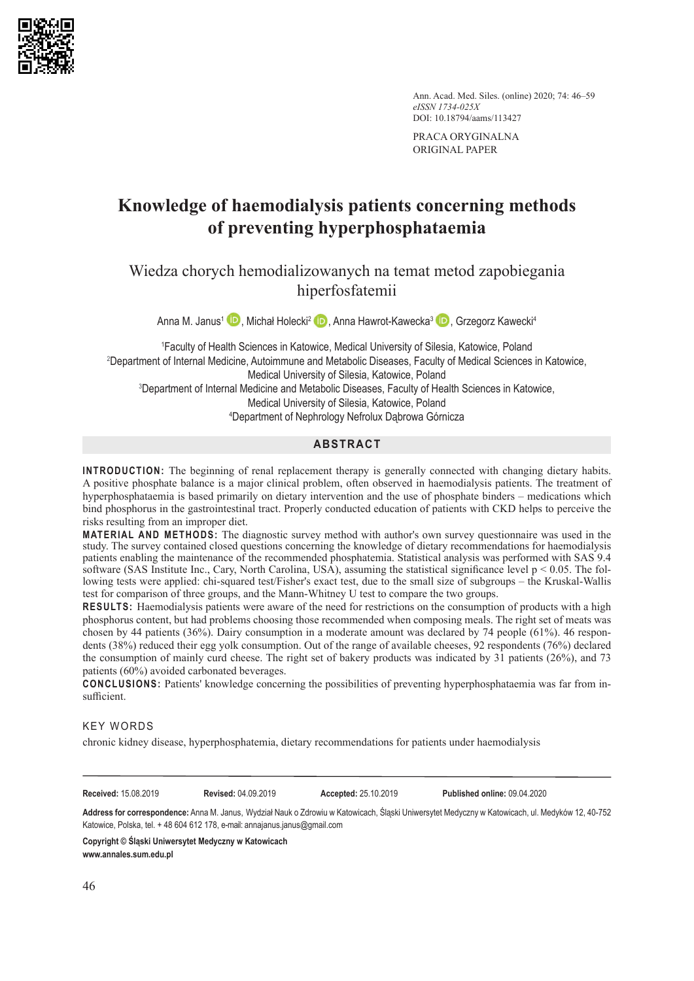

Ann. Acad. Med. Siles. (online) 2020; 74: 46–59 *eISSN 1734-025X* DOI: 10.18794/aams/113427

PRACA ORYGINALNA ORIGINAL PAPER

# **Knowledge of haemodialysis patients concerning methods of preventing hyperphosphataemia**

Wiedza chorych hemodializowanych na temat metod zapobiegania hiperfosfatemii

Anna M. Janus<sup>1</sup> **D**. Michał Holecki<sup>2</sup> D. Anna Hawrot-Kawecka<sup>3</sup> D. Grzegorz Kawecki<sup>4</sup>

 Faculty of Health Sciences in Katowice, Medical University of Silesia, Katowice, Poland Department of Internal Medicine, Autoimmune and Metabolic Diseases, Faculty of Medical Sciences in Katowice, Medical University of Silesia, Katowice, Poland Department of Internal Medicine and Metabolic Diseases, Faculty of Health Sciences in Katowice, Medical University of Silesia, Katowice, Poland Department of Nephrology Nefrolux Dąbrowa Górnicza

## **ABSTRACT**

**INTRODUCTION:** The beginning of renal replacement therapy is generally connected with changing dietary habits. A positive phosphate balance is a major clinical problem, often observed in haemodialysis patients. The treatment of hyperphosphataemia is based primarily on dietary intervention and the use of phosphate binders – medications which bind phosphorus in the gastrointestinal tract. Properly conducted education of patients with CKD helps to perceive the risks resulting from an improper diet.

**MATERIAL AND METHODS:** The diagnostic survey method with author's own survey questionnaire was used in the study. The survey contained closed questions concerning the knowledge of dietary recommendations for haemodialysis patients enabling the maintenance of the recommended phosphatemia. Statistical analysis was performed with SAS 9.4 software (SAS Institute Inc., Cary, North Carolina, USA), assuming the statistical significance level  $p < 0.05$ . The following tests were applied: chi-squared test/Fisher's exact test, due to the small size of subgroups – the Kruskal-Wallis test for comparison of three groups, and the Mann-Whitney U test to compare the two groups.

**RESULTS:** Haemodialysis patients were aware of the need for restrictions on the consumption of products with a high phosphorus content, but had problems choosing those recommended when composing meals. The right set of meats was chosen by 44 patients (36%). Dairy consumption in a moderate amount was declared by 74 people (61%). 46 respondents (38%) reduced their egg yolk consumption. Out of the range of available cheeses, 92 respondents (76%) declared the consumption of mainly curd cheese. The right set of bakery products was indicated by 31 patients (26%), and 73 patients (60%) avoided carbonated beverages.

**CONCLUSIONS:** Patients' knowledge concerning the possibilities of preventing hyperphosphataemia was far from insufficient.

#### KEY WORDS

chronic kidney disease, hyperphosphatemia, dietary recommendations for patients under haemodialysis

**Received:** 15.08.201922.06.2019 **Revised:** 04.09.201922.06.2019 **Accepted:** 25.10.201922.06.2019 **Published online:** 09.04.2020

**Address for correspondence:** Anna M. Janus, Wydział Nauk o Zdrowiu w Katowicach, Śląski Uniwersytet Medyczny w Katowicach, ul. Medyków 12, 40-752 Katowice, Polska, tel. + 48 604 612 178, e-mail: annajanus.janus@gmail.com

**Copyright © Śląski Uniwersytet Medyczny w Katowicach www.annales.sum.edu.pl**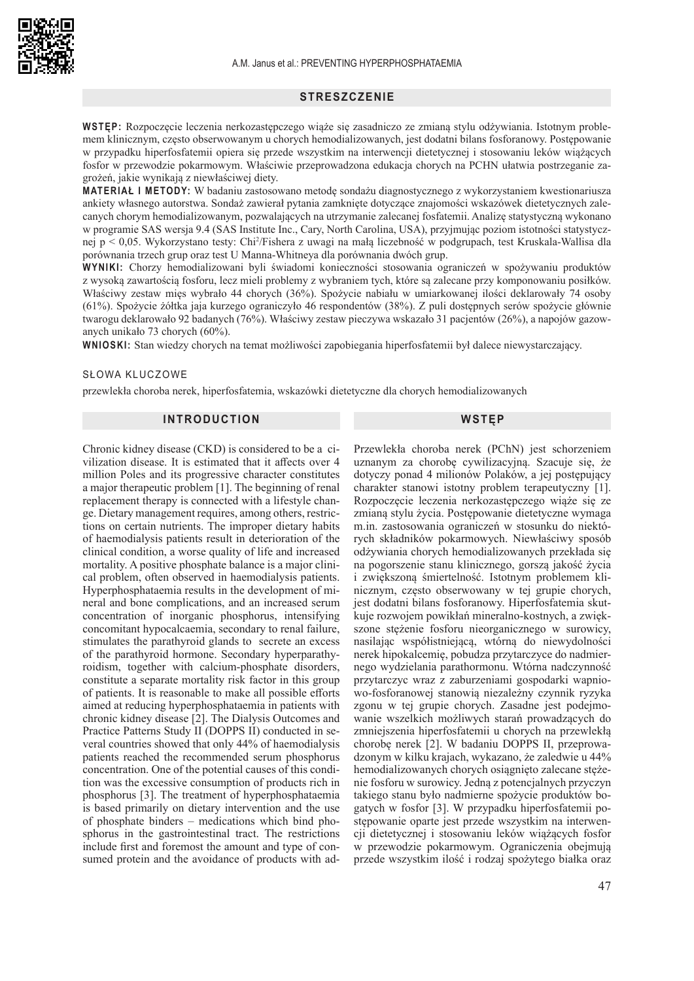## **STRESZCZENIE**

**WSTĘP:** Rozpoczęcie leczenia nerkozastępczego wiąże się zasadniczo ze zmianą stylu odżywiania. Istotnym problemem klinicznym, często obserwowanym u chorych hemodializowanych, jest dodatni bilans fosforanowy. Postępowanie w przypadku hiperfosfatemii opiera się przede wszystkim na interwencji dietetycznej i stosowaniu leków wiążących fosfor w przewodzie pokarmowym. Właściwie przeprowadzona edukacja chorych na PCHN ułatwia postrzeganie zagrożeń, jakie wynikają z niewłaściwej diety.

**MATERIAŁ I METODY:** W badaniu zastosowano metodę sondażu diagnostycznego z wykorzystaniem kwestionariusza ankiety własnego autorstwa. Sondaż zawierał pytania zamknięte dotyczące znajomości wskazówek dietetycznych zalecanych chorym hemodializowanym, pozwalających na utrzymanie zalecanej fosfatemii. Analizę statystyczną wykonano w programie SAS wersja 9.4 (SAS Institute Inc., Cary, North Carolina, USA), przyjmując poziom istotności statystycznej p < 0,05. Wykorzystano testy: Chi<sup>2</sup> /Fishera z uwagi na małą liczebność w podgrupach, test Kruskala-Wallisa dla porównania trzech grup oraz test U Manna-Whitneya dla porównania dwóch grup.

**WYNIKI:** Chorzy hemodializowani byli świadomi konieczności stosowania ograniczeń w spożywaniu produktów z wysoką zawartością fosforu, lecz mieli problemy z wybraniem tych, które są zalecane przy komponowaniu posiłków. Właściwy zestaw mięs wybrało 44 chorych (36%). Spożycie nabiału w umiarkowanej ilości deklarowały 74 osoby (61%). Spożycie żółtka jaja kurzego ograniczyło 46 respondentów (38%). Z puli dostępnych serów spożycie głównie twarogu deklarowało 92 badanych (76%). Właściwy zestaw pieczywa wskazało 31 pacjentów (26%), a napojów gazowanych unikało 73 chorych (60%).

**WNIOSKI:** Stan wiedzy chorych na temat możliwości zapobiegania hiperfosfatemii był dalece niewystarczający.

#### SŁOWA KLUCZOWE

przewlekła choroba nerek, hiperfosfatemia, wskazówki dietetyczne dla chorych hemodializowanych

## **INTRODUCTION**

Chronic kidney disease (CKD) is considered to be a civilization disease. It is estimated that it affects over 4 million Poles and its progressive character constitutes a major therapeutic problem [1]. The beginning of renal replacement therapy is connected with a lifestyle change. Dietary management requires, among others, restrictions on certain nutrients. The improper dietary habits of haemodialysis patients result in deterioration of the clinical condition, a worse quality of life and increased mortality. A positive phosphate balance is a major clinical problem, often observed in haemodialysis patients. Hyperphosphataemia results in the development of mineral and bone complications, and an increased serum concentration of inorganic phosphorus, intensifying concomitant hypocalcaemia, secondary to renal failure, stimulates the parathyroid glands to secrete an excess of the parathyroid hormone. Secondary hyperparathyroidism, together with calcium-phosphate disorders, constitute a separate mortality risk factor in this group of patients. It is reasonable to make all possible efforts aimed at reducing hyperphosphataemia in patients with chronic kidney disease [2]. The Dialysis Outcomes and Practice Patterns Study II (DOPPS II) conducted in several countries showed that only 44% of haemodialysis patients reached the recommended serum phosphorus concentration. One of the potential causes of this condition was the excessive consumption of products rich in phosphorus [3]. The treatment of hyperphosphataemia is based primarily on dietary intervention and the use of phosphate binders – medications which bind phosphorus in the gastrointestinal tract. The restrictions include first and foremost the amount and type of consumed protein and the avoidance of products with ad-

#### **WSTĘP**

Przewlekła choroba nerek (PChN) jest schorzeniem uznanym za chorobę cywilizacyjną. Szacuje się, że dotyczy ponad 4 milionów Polaków, a jej postępujący charakter stanowi istotny problem terapeutyczny [1]. Rozpoczęcie leczenia nerkozastępczego wiąże się ze zmianą stylu życia. Postępowanie dietetyczne wymaga m.in. zastosowania ograniczeń w stosunku do niektórych składników pokarmowych. Niewłaściwy sposób odżywiania chorych hemodializowanych przekłada się na pogorszenie stanu klinicznego, gorszą jakość życia i zwiększoną śmiertelność. Istotnym problemem klinicznym, często obserwowany w tej grupie chorych, jest dodatni bilans fosforanowy. Hiperfosfatemia skutkuje rozwojem powikłań mineralno-kostnych, a zwiększone stężenie fosforu nieorganicznego w surowicy, nasilając współistniejącą, wtórną do niewydolności nerek hipokalcemię, pobudza przytarczyce do nadmiernego wydzielania parathormonu. Wtórna nadczynność przytarczyc wraz z zaburzeniami gospodarki wapniowo-fosforanowej stanowią niezależny czynnik ryzyka zgonu w tej grupie chorych. Zasadne jest podejmowanie wszelkich możliwych starań prowadzących do zmniejszenia hiperfosfatemii u chorych na przewlekłą chorobę nerek [2]. W badaniu DOPPS II, przeprowadzonym w kilku krajach, wykazano, że zaledwie u 44% hemodializowanych chorych osiągnięto zalecane stężenie fosforu w surowicy. Jedną z potencjalnych przyczyn takiego stanu było nadmierne spożycie produktów bogatych w fosfor [3]. W przypadku hiperfosfatemii postępowanie oparte jest przede wszystkim na interwencji dietetycznej i stosowaniu leków wiążących fosfor w przewodzie pokarmowym. Ograniczenia obejmują przede wszystkim ilość i rodzaj spożytego białka oraz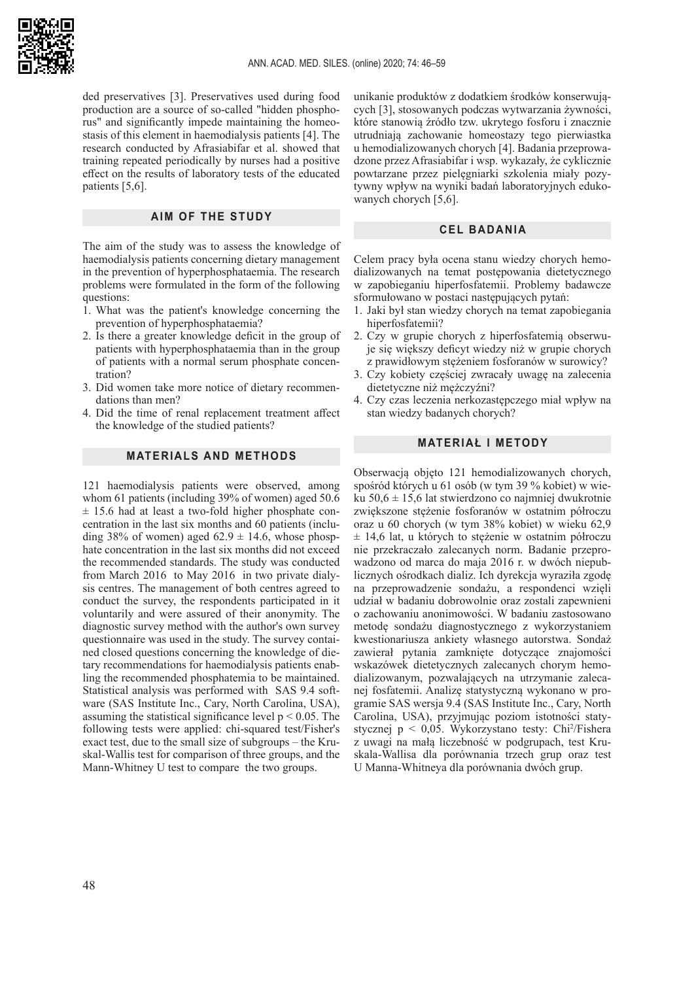

ded preservatives [3]. Preservatives used during food production are a source of so-called "hidden phosphorus" and significantly impede maintaining the homeostasis of this element in haemodialysis patients [4]. The research conducted by Afrasiabifar et al. showed that training repeated periodically by nurses had a positive effect on the results of laboratory tests of the educated patients [5,6].

#### **AIM OF THE STUDY**

The aim of the study was to assess the knowledge of haemodialysis patients concerning dietary management in the prevention of hyperphosphataemia. The research problems were formulated in the form of the following questions:

- 1. What was the patient's knowledge concerning the prevention of hyperphosphataemia?
- 2. Is there a greater knowledge deficit in the group of patients with hyperphosphataemia than in the group of patients with a normal serum phosphate concentration?
- 3. Did women take more notice of dietary recommendations than men?
- 4. Did the time of renal replacement treatment affect the knowledge of the studied patients?

#### **MATERIALS AND METHODS**

121 haemodialysis patients were observed, among whom 61 patients (including 39% of women) aged 50.6  $± 15.6$  had at least a two-fold higher phosphate concentration in the last six months and 60 patients (including 38% of women) aged  $62.9 \pm 14.6$ , whose phosphate concentration in the last six months did not exceed the recommended standards. The study was conducted from March 2016 to May 2016 in two private dialysis centres. The management of both centres agreed to conduct the survey, the respondents participated in it voluntarily and were assured of their anonymity. The diagnostic survey method with the author's own survey questionnaire was used in the study. The survey contained closed questions concerning the knowledge of dietary recommendations for haemodialysis patients enabling the recommended phosphatemia to be maintained. Statistical analysis was performed with SAS 9.4 software (SAS Institute Inc., Cary, North Carolina, USA), assuming the statistical significance level  $p < 0.05$ . The following tests were applied: chi-squared test/Fisher's exact test, due to the small size of subgroups – the Kruskal-Wallis test for comparison of three groups, and the Mann-Whitney U test to compare the two groups.

unikanie produktów z dodatkiem środków konserwujących [3], stosowanych podczas wytwarzania żywności, które stanowią źródło tzw. ukrytego fosforu i znacznie utrudniają zachowanie homeostazy tego pierwiastka u hemodializowanych chorych [4]. Badania przeprowadzone przez Afrasiabifar i wsp. wykazały, że cyklicznie powtarzane przez pielęgniarki szkolenia miały pozytywny wpływ na wyniki badań laboratoryjnych edukowanych chorych [5,6].

#### **CEL BADANIA**

Celem pracy była ocena stanu wiedzy chorych hemodializowanych na temat postępowania dietetycznego w zapobieganiu hiperfosfatemii. Problemy badawcze sformułowano w postaci następujących pytań:

- 1. Jaki był stan wiedzy chorych na temat zapobiegania hiperfosfatemii?
- 2. Czy w grupie chorych z hiperfosfatemią obserwuje się większy deficyt wiedzy niż w grupie chorych z prawidłowym stężeniem fosforanów w surowicy?
- 3. Czy kobiety częściej zwracały uwagę na zalecenia dietetyczne niż mężczyźni?
- 4. Czy czas leczenia nerkozastępczego miał wpływ na stan wiedzy badanych chorych?

#### **MATERIAŁ I METODY**

Obserwacją objęto 121 hemodializowanych chorych, spośród których u 61 osób (w tym 39 % kobiet) w wieku 50,6  $\pm$  15,6 lat stwierdzono co najmniej dwukrotnie zwiększone stężenie fosforanów w ostatnim półroczu oraz u 60 chorych (w tym 38% kobiet) w wieku 62,9  $\pm$  14,6 lat, u których to stężenie w ostatnim półroczu nie przekraczało zalecanych norm. Badanie przeprowadzono od marca do maja 2016 r. w dwóch niepublicznych ośrodkach dializ. Ich dyrekcja wyraziła zgodę na przeprowadzenie sondażu, a respondenci wzięli udział w badaniu dobrowolnie oraz zostali zapewnieni o zachowaniu anonimowości. W badaniu zastosowano metodę sondażu diagnostycznego z wykorzystaniem kwestionariusza ankiety własnego autorstwa. Sondaż zawierał pytania zamknięte dotyczące znajomości wskazówek dietetycznych zalecanych chorym hemodializowanym, pozwalających na utrzymanie zalecanej fosfatemii. Analizę statystyczną wykonano w programie SAS wersja 9.4 (SAS Institute Inc., Cary, North Carolina, USA), przyjmując poziom istotności statystycznej p < 0,05. Wykorzystano testy: Chi<sup>2</sup> /Fishera z uwagi na małą liczebność w podgrupach, test Kruskala-Wallisa dla porównania trzech grup oraz test U Manna-Whitneya dla porównania dwóch grup.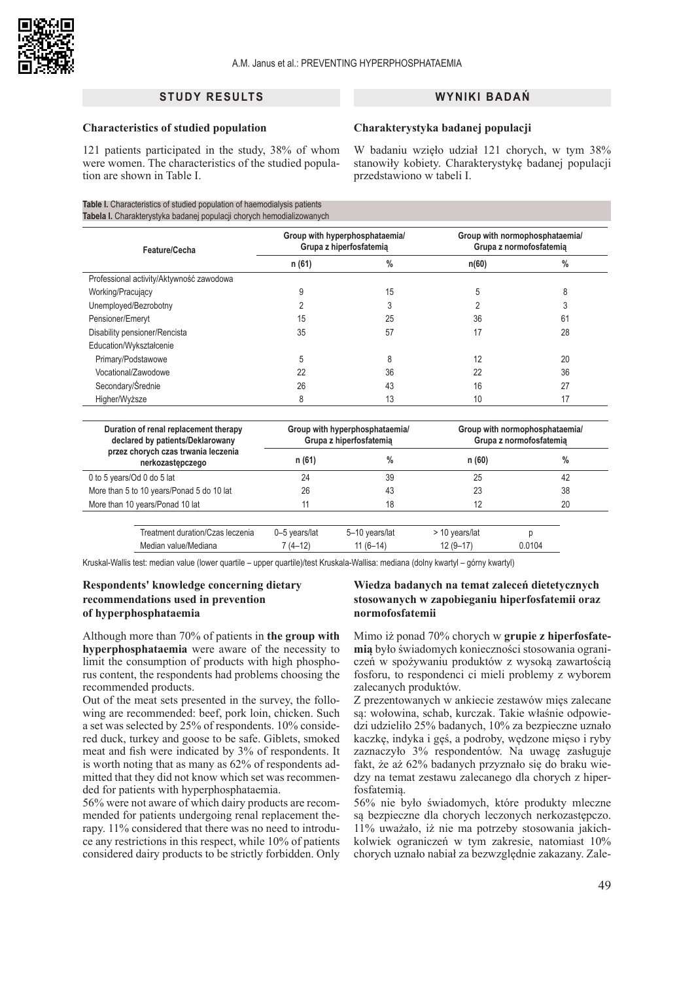

## **STUDY RESULTS**

#### **Characteristics of studied population**

## W badaniu wzięło udział 121 chorych, w tym 38% stanowiły kobiety. Charakterystykę badanej populacji

przedstawiono w tabeli I.

**Charakterystyka badanej populacji** 

**WYNIKI BADAŃ** 

121 patients participated in the study, 38% of whom were women. The characteristics of the studied population are shown in Table I.

#### **Table I.** Characteristics of studied population of haemodialysis patients **Tabela I.** Charakterystyka badanej populacji chorych hemodializowanych

| Feature/Cecha                            | Group with hyperphosphataemia/<br>Grupa z hiperfosfatemia |               | Group with normophosphataemia/<br>Grupa z normofosfatemia |      |  |
|------------------------------------------|-----------------------------------------------------------|---------------|-----------------------------------------------------------|------|--|
|                                          | n (61)                                                    | $\frac{0}{0}$ | n(60)                                                     | $\%$ |  |
| Professional activity/Aktywność zawodowa |                                                           |               |                                                           |      |  |
| Working/Pracujący                        |                                                           | 15            | 5                                                         |      |  |
| Unemployed/Bezrobotny                    |                                                           |               |                                                           |      |  |
| Pensioner/Emeryt                         | 15                                                        | 25            | 36                                                        | 61   |  |
| Disability pensioner/Rencista            | 35                                                        | 57            | 17                                                        | 28   |  |
| Education/Wykształcenie                  |                                                           |               |                                                           |      |  |
| Primary/Podstawowe                       | 5                                                         | ጸ             | 12                                                        | 20   |  |
| Vocational/Zawodowe                      | 22                                                        | 36            | 22                                                        | 36   |  |
| Secondary/Średnie                        | 26                                                        | 43            | 16                                                        | 27   |  |
| Higher/Wyższe                            |                                                           | 13            | 10                                                        | 17   |  |

| Duration of renal replacement therapy<br>declared by patients/Deklarowany |  |               | Group with hyperphosphataemia/<br>Grupa z hiperfosfatemia | Group with normophosphataemia/<br>Grupa z normofosfatemia |        |  |  |
|---------------------------------------------------------------------------|--|---------------|-----------------------------------------------------------|-----------------------------------------------------------|--------|--|--|
| przez chorych czas trwania leczenia<br>nerkozastępczego                   |  | n (61)        | $\%$                                                      | n(60)                                                     | $\%$   |  |  |
| 0 to 5 years/Od 0 do 5 lat                                                |  | 24            | 39                                                        | 25                                                        | 42     |  |  |
| More than 5 to 10 years/Ponad 5 do 10 lat                                 |  | 26            | 43                                                        | 23                                                        | 38     |  |  |
| More than 10 years/Ponad 10 lat                                           |  |               | 18                                                        | 12                                                        | 20     |  |  |
| Treatment duration/Czas leczenia                                          |  | 0-5 years/lat | 5-10 years/lat                                            | > 10 years/lat                                            |        |  |  |
| Median value/Mediana                                                      |  | 7 (4–12)      | $11(6-14)$                                                | $12(9-17)$                                                | 0.0104 |  |  |

Kruskal-Wallis test: median value (lower quartile – upper quartile)/test Kruskala-Wallisa: mediana (dolny kwartyl – górny kwartyl)

## **Respondents' knowledge concerning dietary recommendations used in prevention of hyperphosphataemia**

Although more than 70% of patients in **the group with hyperphosphataemia** were aware of the necessity to limit the consumption of products with high phosphorus content, the respondents had problems choosing the recommended products.

Out of the meat sets presented in the survey, the following are recommended: beef, pork loin, chicken. Such a set was selected by 25% of respondents. 10% considered duck, turkey and goose to be safe. Giblets, smoked meat and fish were indicated by 3% of respondents. It is worth noting that as many as 62% of respondents admitted that they did not know which set was recommended for patients with hyperphosphataemia.

56% were not aware of which dairy products are recommended for patients undergoing renal replacement therapy. 11% considered that there was no need to introduce any restrictions in this respect, while 10% of patients considered dairy products to be strictly forbidden. Only

## **Wiedza badanych na temat zaleceń dietetycznych stosowanych w zapobieganiu hiperfosfatemii oraz normofosfatemii**

Mimo iż ponad 70% chorych w **grupie z hiperfosfatemią** było świadomych konieczności stosowania ograniczeń w spożywaniu produktów z wysoką zawartością fosforu, to respondenci ci mieli problemy z wyborem zalecanych produktów.

Z prezentowanych w ankiecie zestawów mięs zalecane są: wołowina, schab, kurczak. Takie właśnie odpowiedzi udzieliło 25% badanych, 10% za bezpieczne uznało kaczkę, indyka i gęś, a podroby, wędzone mięso i ryby zaznaczyło 3% respondentów. Na uwagę zasługuje fakt, że aż 62% badanych przyznało się do braku wiedzy na temat zestawu zalecanego dla chorych z hiperfosfatemią.

56% nie było świadomych, które produkty mleczne są bezpieczne dla chorych leczonych nerkozastępczo. 11% uważało, iż nie ma potrzeby stosowania jakichkolwiek ograniczeń w tym zakresie, natomiast 10% chorych uznało nabiał za bezwzględnie zakazany. Zale-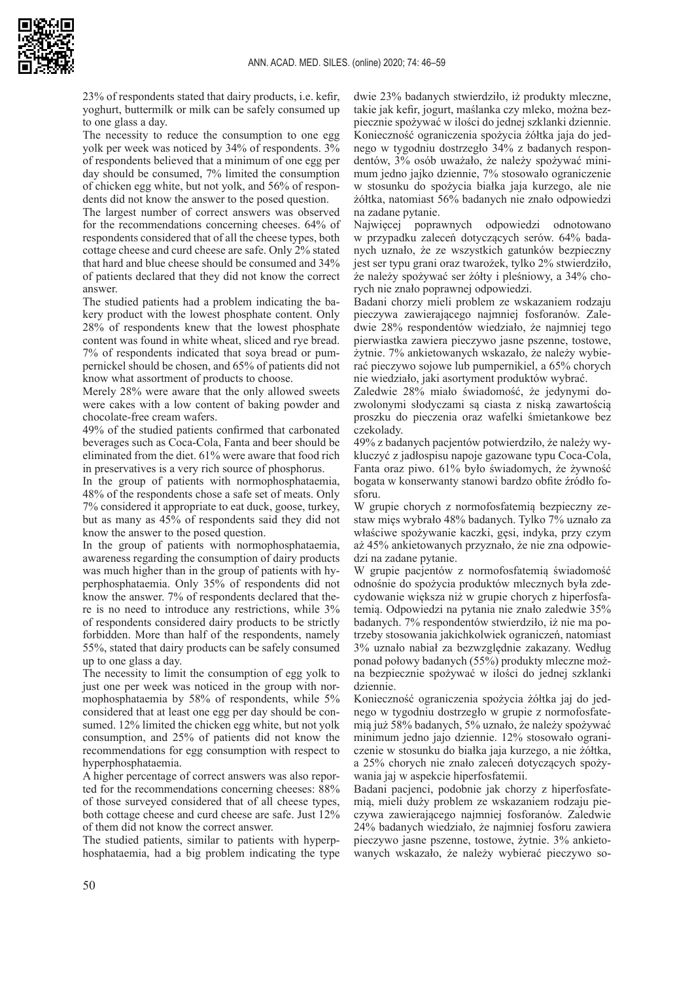

23% of respondents stated that dairy products, i.e. kefir, yoghurt, buttermilk or milk can be safely consumed up to one glass a day.

The necessity to reduce the consumption to one egg yolk per week was noticed by 34% of respondents. 3% of respondents believed that a minimum of one egg per day should be consumed, 7% limited the consumption of chicken egg white, but not yolk, and 56% of respondents did not know the answer to the posed question.

The largest number of correct answers was observed for the recommendations concerning cheeses. 64% of respondents considered that of all the cheese types, both cottage cheese and curd cheese are safe. Only 2% stated that hard and blue cheese should be consumed and 34% of patients declared that they did not know the correct answer.

The studied patients had a problem indicating the bakery product with the lowest phosphate content. Only 28% of respondents knew that the lowest phosphate content was found in white wheat, sliced and rye bread. 7% of respondents indicated that soya bread or pumpernickel should be chosen, and 65% of patients did not know what assortment of products to choose.

Merely 28% were aware that the only allowed sweets were cakes with a low content of baking powder and chocolate-free cream wafers.

49% of the studied patients confirmed that carbonated beverages such as Coca-Cola, Fanta and beer should be eliminated from the diet. 61% were aware that food rich in preservatives is a very rich source of phosphorus.

In the group of patients with normophosphataemia, 48% of the respondents chose a safe set of meats. Only 7% considered it appropriate to eat duck, goose, turkey, but as many as 45% of respondents said they did not know the answer to the posed question.

In the group of patients with normophosphataemia, awareness regarding the consumption of dairy products was much higher than in the group of patients with hyperphosphataemia. Only 35% of respondents did not know the answer. 7% of respondents declared that there is no need to introduce any restrictions, while 3% of respondents considered dairy products to be strictly forbidden. More than half of the respondents, namely 55%, stated that dairy products can be safely consumed up to one glass a day.

The necessity to limit the consumption of egg yolk to just one per week was noticed in the group with normophosphataemia by 58% of respondents, while 5% considered that at least one egg per day should be consumed. 12% limited the chicken egg white, but not yolk consumption, and 25% of patients did not know the recommendations for egg consumption with respect to hyperphosphataemia.

A higher percentage of correct answers was also reported for the recommendations concerning cheeses: 88% of those surveyed considered that of all cheese types, both cottage cheese and curd cheese are safe. Just 12% of them did not know the correct answer.

The studied patients, similar to patients with hyperphosphataemia, had a big problem indicating the type dwie 23% badanych stwierdziło, iż produkty mleczne, takie jak kefir, jogurt, maślanka czy mleko, można bezpiecznie spożywać w ilości do jednej szklanki dziennie. Konieczność ograniczenia spożycia żółtka jaja do jednego w tygodniu dostrzegło 34% z badanych respondentów, 3% osób uważało, że należy spożywać minimum jedno jajko dziennie, 7% stosowało ograniczenie w stosunku do spożycia białka jaja kurzego, ale nie żółtka, natomiast 56% badanych nie znało odpowiedzi na zadane pytanie.

Najwięcej poprawnych odpowiedzi odnotowano w przypadku zaleceń dotyczących serów. 64% badanych uznało, że ze wszystkich gatunków bezpieczny jest ser typu grani oraz twarożek, tylko 2% stwierdziło, że należy spożywać ser żółty i pleśniowy, a 34% chorych nie znało poprawnej odpowiedzi.

Badani chorzy mieli problem ze wskazaniem rodzaju pieczywa zawierającego najmniej fosforanów. Zaledwie 28% respondentów wiedziało, że najmniej tego pierwiastka zawiera pieczywo jasne pszenne, tostowe, żytnie. 7% ankietowanych wskazało, że należy wybierać pieczywo sojowe lub pumpernikiel, a 65% chorych nie wiedziało, jaki asortyment produktów wybrać.

Zaledwie 28% miało świadomość, że jedynymi dozwolonymi słodyczami są ciasta z niską zawartością proszku do pieczenia oraz wafelki śmietankowe bez czekolady.

49% z badanych pacjentów potwierdziło, że należy wykluczyć z jadłospisu napoje gazowane typu Coca-Cola, Fanta oraz piwo. 61% było świadomych, że żywność bogata w konserwanty stanowi bardzo obfite źródło fosforu.

W grupie chorych z normofosfatemią bezpieczny zestaw mięs wybrało 48% badanych. Tylko 7% uznało za właściwe spożywanie kaczki, gęsi, indyka, przy czym aż 45% ankietowanych przyznało, że nie zna odpowiedzi na zadane pytanie.

W grupie pacjentów z normofosfatemią świadomość odnośnie do spożycia produktów mlecznych była zdecydowanie większa niż w grupie chorych z hiperfosfatemią. Odpowiedzi na pytania nie znało zaledwie 35% badanych. 7% respondentów stwierdziło, iż nie ma potrzeby stosowania jakichkolwiek ograniczeń, natomiast 3% uznało nabiał za bezwzględnie zakazany. Według ponad połowy badanych (55%) produkty mleczne można bezpiecznie spożywać w ilości do jednej szklanki dziennie.

Konieczność ograniczenia spożycia żółtka jaj do jednego w tygodniu dostrzegło w grupie z normofosfatemią już 58% badanych, 5% uznało, że należy spożywać minimum jedno jajo dziennie. 12% stosowało ograniczenie w stosunku do białka jaja kurzego, a nie żółtka, a 25% chorych nie znało zaleceń dotyczących spożywania jaj w aspekcie hiperfosfatemii.

Badani pacjenci, podobnie jak chorzy z hiperfosfatemią, mieli duży problem ze wskazaniem rodzaju pieczywa zawierającego najmniej fosforanów. Zaledwie 24% badanych wiedziało, że najmniej fosforu zawiera pieczywo jasne pszenne, tostowe, żytnie. 3% ankietowanych wskazało, że należy wybierać pieczywo so-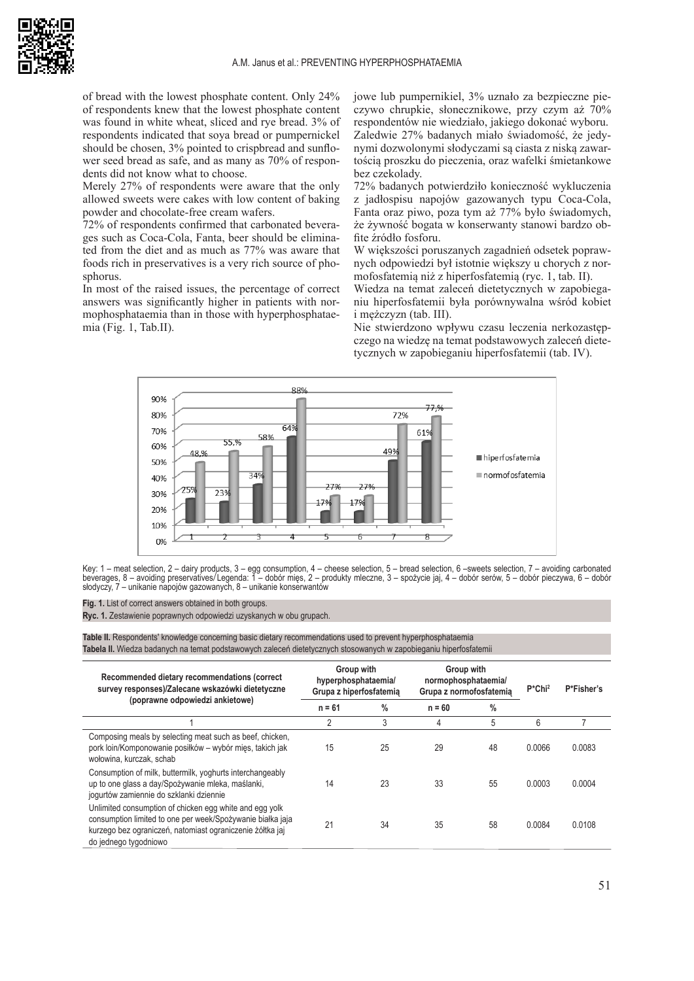

of bread with the lowest phosphate content. Only 24% of respondents knew that the lowest phosphate content was found in white wheat, sliced and rye bread. 3% of respondents indicated that soya bread or pumpernickel should be chosen, 3% pointed to crispbread and sunflower seed bread as safe, and as many as 70% of respondents did not know what to choose.

Merely 27% of respondents were aware that the only allowed sweets were cakes with low content of baking powder and chocolate-free cream wafers.

72% of respondents confirmed that carbonated beverages such as Coca-Cola, Fanta, beer should be eliminated from the diet and as much as 77% was aware that foods rich in preservatives is a very rich source of phosphorus.

In most of the raised issues, the percentage of correct answers was significantly higher in patients with normophosphataemia than in those with hyperphosphataemia (Fig. 1, Tab.II).

jowe lub pumpernikiel, 3% uznało za bezpieczne pieczywo chrupkie, słonecznikowe, przy czym aż 70% respondentów nie wiedziało, jakiego dokonać wyboru. Zaledwie 27% badanych miało świadomość, że jedynymi dozwolonymi słodyczami są ciasta z niską zawartością proszku do pieczenia, oraz wafelki śmietankowe bez czekolady.

72% badanych potwierdziło konieczność wykluczenia z jadłospisu napojów gazowanych typu Coca-Cola, Fanta oraz piwo, poza tym aż 77% było świadomych, że żywność bogata w konserwanty stanowi bardzo obfite źródło fosforu.

W większości poruszanych zagadnień odsetek poprawnych odpowiedzi był istotnie większy u chorych z normofosfatemią niż z hiperfosfatemią (ryc. 1, tab. II).

Wiedza na temat zaleceń dietetycznych w zapobieganiu hiperfosfatemii była porównywalna wśród kobiet i mężczyzn (tab. III).

Nie stwierdzono wpływu czasu leczenia nerkozastępczego na wiedzę na temat podstawowych zaleceń dietetycznych w zapobieganiu hiperfosfatemii (tab. IV).



Key: 1 – meat selection, 2 – dairy products, 3 – egg consumption, 4 – cheese selection, 5 – bread selection, 6 –sweets selection, 7 – avoiding carbonated beverages, 8 – avoiding preservatives/Legenda: 1 – dobór mięs, 2 – produkty mleczne, 3 – spożycie jaj, 4 – dobór serów, 5 – dobór pieczywa, 6 – dobór słodyczy, 7 – unikanie napojów gazowanych, 8 – unikanie konserwantów

**Fig. 1.** List of correct answers obtained in both groups.

**Ryc. 1.** Zestawienie poprawnych odpowiedzi uzyskanych w obu grupach.

**Table II.** Respondents' knowledge concerning basic dietary recommendations used to prevent hyperphosphataemia **Tabela II.** Wiedza badanych na temat podstawowych zaleceń dietetycznych stosowanych w zapobieganiu hiperfosfatemii

| Recommended dietary recommendations (correct<br>survey responses)/Zalecane wskazówki dietetyczne<br>(poprawne odpowiedzi ankietowe)                                                                         | Group with<br>hyperphosphataemia/<br>Grupa z hiperfosfatemia |               | Group with<br>normophosphataemia/<br>Grupa z normofosfatemia |      | $P^*$ Chi <sup>2</sup> | P*Fisher's |
|-------------------------------------------------------------------------------------------------------------------------------------------------------------------------------------------------------------|--------------------------------------------------------------|---------------|--------------------------------------------------------------|------|------------------------|------------|
|                                                                                                                                                                                                             | $n = 61$                                                     | $\frac{0}{0}$ | $n = 60$                                                     | $\%$ |                        |            |
|                                                                                                                                                                                                             | $\overline{2}$                                               | 3             | 4                                                            | 5    | 6                      |            |
| Composing meals by selecting meat such as beef, chicken,<br>pork loin/Komponowanie posiłków – wybór mies, takich jak<br>wołowina, kurczak, schab                                                            | 15                                                           | 25            | 29                                                           | 48   | 0.0066                 | 0.0083     |
| Consumption of milk, buttermilk, yoghurts interchangeably<br>up to one glass a day/Spożywanie mleka, maślanki,<br>jogurtów zamiennie do szklanki dziennie                                                   | 14                                                           | 23            | 33                                                           | 55   | 0.0003                 | 0.0004     |
| Unlimited consumption of chicken egg white and egg yolk<br>consumption limited to one per week/Spożywanie białka jaja<br>kurzego bez ograniczeń, natomiast ograniczenie żółtka jaj<br>do jednego tygodniowo | 21                                                           | 34            | 35                                                           | 58   | 0.0084                 | 0.0108     |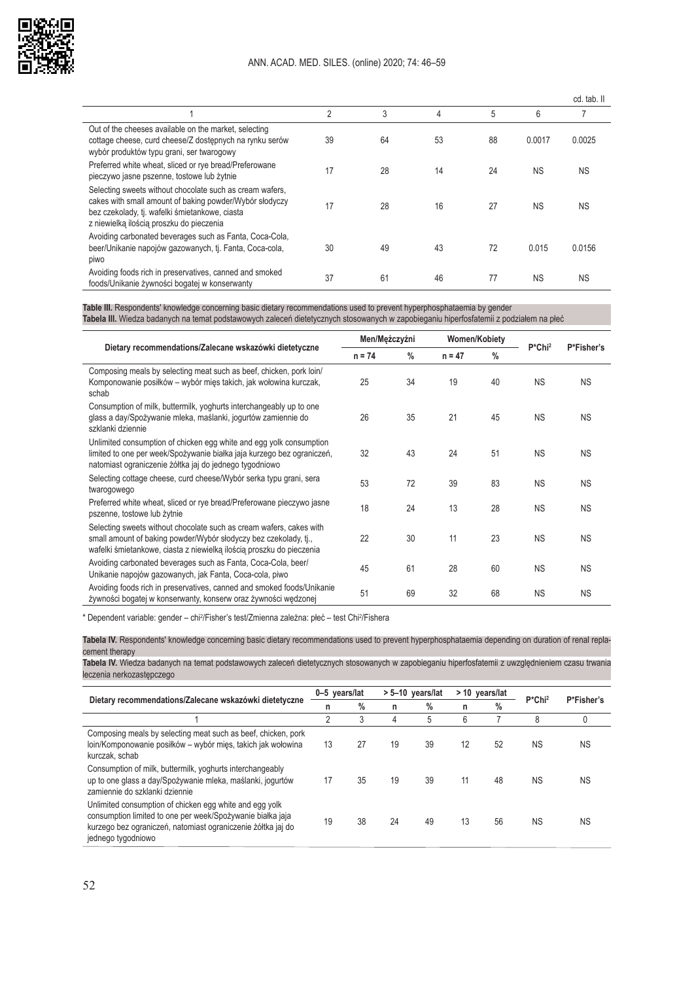

|                                                                                                                                                                                                                   |    |    |    |    |           | cd. tab. II |
|-------------------------------------------------------------------------------------------------------------------------------------------------------------------------------------------------------------------|----|----|----|----|-----------|-------------|
|                                                                                                                                                                                                                   | 2  | 3  | 4  | 5  | 6         |             |
| Out of the cheeses available on the market, selecting<br>cottage cheese, curd cheese/Z dostępnych na rynku serów<br>wybór produktów typu grani, ser twarogowy                                                     | 39 | 64 | 53 | 88 | 0.0017    | 0.0025      |
| Preferred white wheat, sliced or rye bread/Preferowane<br>pieczywo jasne pszenne, tostowe lub żytnie                                                                                                              | 17 | 28 | 14 | 24 | <b>NS</b> | <b>NS</b>   |
| Selecting sweets without chocolate such as cream wafers.<br>cakes with small amount of baking powder/Wybór słodyczy<br>bez czekolady, tj. wafelki śmietankowe, ciasta<br>z niewielką ilością proszku do pieczenia | 17 | 28 | 16 | 27 | <b>NS</b> | <b>NS</b>   |
| Avoiding carbonated beverages such as Fanta, Coca-Cola,<br>beer/Unikanie napojów gazowanych, tj. Fanta, Coca-cola,<br>piwo                                                                                        | 30 | 49 | 43 | 72 | 0.015     | 0.0156      |
| Avoiding foods rich in preservatives, canned and smoked<br>foods/Unikanie żywności bogatej w konserwanty                                                                                                          | 37 | 61 | 46 | 77 | <b>NS</b> | <b>NS</b>   |

**Table III.** Respondents' knowledge concerning basic dietary recommendations used to prevent hyperphosphataemia by gender **Tabela III.** Wiedza badanych na temat podstawowych zaleceń dietetycznych stosowanych w zapobieganiu hiperfosfatemii z podziałem na płeć

|                                                                                                                                                                                                                 | Men/Mężczyźni |               | <b>Women/Kobiety</b> |               |                        |            |
|-----------------------------------------------------------------------------------------------------------------------------------------------------------------------------------------------------------------|---------------|---------------|----------------------|---------------|------------------------|------------|
| Dietary recommendations/Zalecane wskazówki dietetyczne                                                                                                                                                          | $n = 74$      | $\frac{0}{0}$ | $n = 47$             | $\frac{0}{0}$ | $P^*$ Chi <sup>2</sup> | P*Fisher's |
| Composing meals by selecting meat such as beef, chicken, pork loin/<br>Komponowanie posiłków – wybór mięs takich, jak wołowina kurczak,<br>schab                                                                | 25            | 34            | 19                   | 40            | <b>NS</b>              | <b>NS</b>  |
| Consumption of milk, buttermilk, yoghurts interchangeably up to one<br>glass a day/Spożywanie mleka, maślanki, jogurtów zamiennie do<br>szklanki dziennie                                                       | 26            | 35            | 21                   | 45            | <b>NS</b>              | <b>NS</b>  |
| Unlimited consumption of chicken egg white and egg yolk consumption<br>limited to one per week/Spożywanie białka jaja kurzego bez ograniczeń,<br>natomiast ograniczenie żółtka jaj do jednego tygodniowo        | 32            | 43            | 24                   | 51            | <b>NS</b>              | <b>NS</b>  |
| Selecting cottage cheese, curd cheese/Wybór serka typu grani, sera<br>twarogowego                                                                                                                               | 53            | 72            | 39                   | 83            | <b>NS</b>              | <b>NS</b>  |
| Preferred white wheat, sliced or rye bread/Preferowane pieczywo jasne<br>pszenne, tostowe lub żytnie                                                                                                            | 18            | 24            | 13                   | 28            | <b>NS</b>              | <b>NS</b>  |
| Selecting sweets without chocolate such as cream wafers, cakes with<br>small amount of baking powder/Wybór słodyczy bez czekolady, tj.,<br>wafelki śmietankowe, ciasta z niewielką ilością proszku do pieczenia | 22            | 30            | 11                   | 23            | <b>NS</b>              | <b>NS</b>  |
| Avoiding carbonated beverages such as Fanta, Coca-Cola, beer/<br>Unikanie napojów gazowanych, jak Fanta, Coca-cola, piwo                                                                                        | 45            | 61            | 28                   | 60            | <b>NS</b>              | <b>NS</b>  |
| Avoiding foods rich in preservatives, canned and smoked foods/Unikanie<br>żywności bogatej w konserwanty, konserw oraz żywności wędzonej                                                                        | 51            | 69            | 32                   | 68            | <b>NS</b>              | <b>NS</b>  |

\* Dependent variable: gender – chi<sup>2</sup>/Fisher's test/Zmienna zależna: płeć – test Chi<sup>2</sup>/Fishera

**Tabela IV.** Respondents' knowledge concerning basic dietary recommendations used to prevent hyperphosphataemia depending on duration of renal replacement therapy

**Tabela IV.** Wiedza badanych na temat podstawowych zaleceń dietetycznych stosowanych w zapobieganiu hiperfosfatemii z uwzględnieniem czasu trwania leczenia nerkozastępczego

| Dietary recommendations/Zalecane wskazówki dietetyczne                                                                                                                                                      |    | 0-5 years/lat |    | $> 5 - 10$ years/lat |    | > 10 years/lat |                    | P*Fisher's |
|-------------------------------------------------------------------------------------------------------------------------------------------------------------------------------------------------------------|----|---------------|----|----------------------|----|----------------|--------------------|------------|
|                                                                                                                                                                                                             | n  | $\%$          | n  | $\%$                 | n  | $\frac{0}{0}$  | P*Chi <sup>2</sup> |            |
|                                                                                                                                                                                                             | 2  | 3             | 4  | 5                    | 6  |                | 8                  | 0          |
| Composing meals by selecting meat such as beef, chicken, pork<br>loin/Komponowanie posiłków – wybór mięs, takich jak wołowina<br>kurczak, schab                                                             | 13 | 27            | 19 | 39                   | 12 | 52             | <b>NS</b>          | <b>NS</b>  |
| Consumption of milk, buttermilk, yoghurts interchangeably<br>up to one glass a day/Spożywanie mleka, maślanki, jogurtów<br>zamiennie do szklanki dziennie                                                   | 17 | 35            | 19 | 39                   | 11 | 48             | <b>NS</b>          | <b>NS</b>  |
| Unlimited consumption of chicken egg white and egg yolk<br>consumption limited to one per week/Spożywanie białka jaja<br>kurzego bez ograniczeń, natomiast ograniczenie żółtka jaj do<br>jednego tygodniowo | 19 | 38            | 24 | 49                   | 13 | 56             | <b>NS</b>          | ΝS         |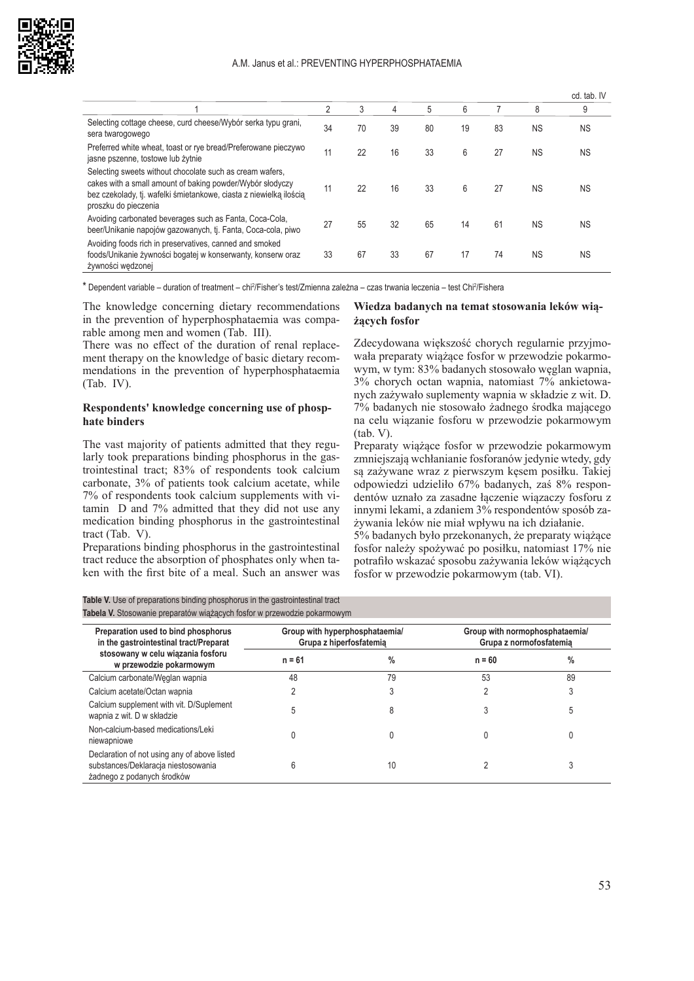

|                                                                                                                                                                                                                     |    |    |    |    |    |    |           | cd. tab. IV |
|---------------------------------------------------------------------------------------------------------------------------------------------------------------------------------------------------------------------|----|----|----|----|----|----|-----------|-------------|
|                                                                                                                                                                                                                     | 2  | 3  | 4  | 5  | 6  |    | 8         | 9           |
| Selecting cottage cheese, curd cheese/Wybór serka typu grani,<br>sera twarogowego                                                                                                                                   | 34 | 70 | 39 | 80 | 19 | 83 | <b>NS</b> | <b>NS</b>   |
| Preferred white wheat, toast or rye bread/Preferowane pieczywo<br>jasne pszenne, tostowe lub żytnie                                                                                                                 | 11 | 22 | 16 | 33 | 6  | 27 | <b>NS</b> | <b>NS</b>   |
| Selecting sweets without chocolate such as cream wafers.<br>cakes with a small amount of baking powder/Wybór słodyczy<br>bez czekolady, tj. wafelki śmietankowe, ciasta z niewielką ilością<br>proszku do pieczenia | 11 | 22 | 16 | 33 | 6  | 27 | <b>NS</b> | <b>NS</b>   |
| Avoiding carbonated beverages such as Fanta, Coca-Cola,<br>beer/Unikanie napojów gazowanych, tj. Fanta, Coca-cola, piwo                                                                                             | 27 | 55 | 32 | 65 | 14 | 61 | <b>NS</b> | <b>NS</b>   |
| Avoiding foods rich in preservatives, canned and smoked<br>foods/Unikanie żywności bogatej w konserwanty, konserw oraz<br>żywności wędzonej                                                                         | 33 | 67 | 33 | 67 | 17 | 74 | <b>NS</b> | <b>NS</b>   |

\* Dependent variable – duration of treatment – chi<sup>2</sup>/Fisher's test/Zmienna zależna – czas trwania leczenia – test Chi<sup>2</sup>/Fishera

The knowledge concerning dietary recommendations in the prevention of hyperphosphataemia was comparable among men and women (Tab. III).

There was no effect of the duration of renal replacement therapy on the knowledge of basic dietary recommendations in the prevention of hyperphosphataemia (Tab. IV).

#### **Respondents' knowledge concerning use of phosphate binders**

The vast majority of patients admitted that they regularly took preparations binding phosphorus in the gastrointestinal tract; 83% of respondents took calcium carbonate, 3% of patients took calcium acetate, while 7% of respondents took calcium supplements with vitamin D and 7% admitted that they did not use any medication binding phosphorus in the gastrointestinal tract (Tab. V).

Preparations binding phosphorus in the gastrointestinal tract reduce the absorption of phosphates only when taken with the first bite of a meal. Such an answer was

#### **Wiedza badanych na temat stosowania leków wiążących fosfor**

Zdecydowana większość chorych regularnie przyjmowała preparaty wiążące fosfor w przewodzie pokarmowym, w tym: 83% badanych stosowało węglan wapnia, 3% chorych octan wapnia, natomiast 7% ankietowanych zażywało suplementy wapnia w składzie z wit. D. 7% badanych nie stosowało żadnego środka mającego na celu wiązanie fosforu w przewodzie pokarmowym (tab. V).

Preparaty wiążące fosfor w przewodzie pokarmowym zmniejszają wchłanianie fosforanów jedynie wtedy, gdy są zażywane wraz z pierwszym kęsem posiłku. Takiej odpowiedzi udzieliło 67% badanych, zaś 8% respondentów uznało za zasadne łączenie wiązaczy fosforu z innymi lekami, a zdaniem 3% respondentów sposób zażywania leków nie miał wpływu na ich działanie.

5% badanych było przekonanych, że preparaty wiążące fosfor należy spożywać po posiłku, natomiast 17% nie potrafiło wskazać sposobu zażywania leków wiążących fosfor w przewodzie pokarmowym (tab. VI).

| Preparation used to bind phosphorus<br>in the gastrointestinal tract/Preparat<br>stosowany w celu wiązania fosforu<br>w przewodzie pokarmowym | Group with hyperphosphataemia/<br>Grupa z hiperfosfatemia |    | Group with normophosphataemia/<br>Grupa z normofosfatemia |      |  |  |
|-----------------------------------------------------------------------------------------------------------------------------------------------|-----------------------------------------------------------|----|-----------------------------------------------------------|------|--|--|
|                                                                                                                                               | $n = 61$                                                  | %  | $n = 60$                                                  | $\%$ |  |  |
| Calcium carbonate/Weglan wapnia                                                                                                               | 48                                                        | 79 | 53                                                        | 89   |  |  |
| Calcium acetate/Octan wapnia                                                                                                                  |                                                           |    |                                                           |      |  |  |
| Calcium supplement with vit. D/Suplement<br>wapnia z wit. D w składzie                                                                        |                                                           |    |                                                           |      |  |  |
| Non-calcium-based medications/Leki<br>niewapniowe                                                                                             |                                                           |    |                                                           |      |  |  |
| Declaration of not using any of above listed<br>substances/Deklaracja niestosowania<br>żadnego z podanych środków                             |                                                           | 10 |                                                           |      |  |  |

**Table V.** Use of preparations binding phosphorus in the gastrointestinal tract **Tabela V.** Stosowanie preparatów wiążących fosfor w przewodzie pokarmowym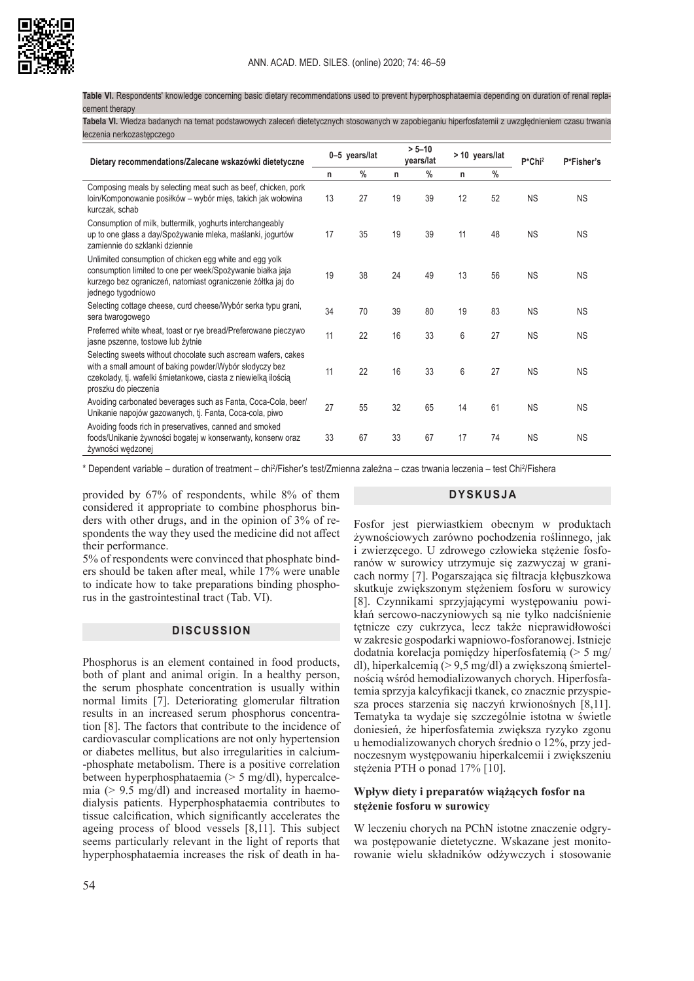

**Table VI.** Respondents' knowledge concerning basic dietary recommendations used to prevent hyperphosphataemia depending on duration of renal replacement therapy

**Tabela VI.** Wiedza badanych na temat podstawowych zaleceń dietetycznych stosowanych w zapobieganiu hiperfosfatemii z uwzględnieniem czasu trwania leczenia nerkozastępczego

| Dietary recommendations/Zalecane wskazówki dietetyczne                                                                                                                                                             |    | 0-5 years/lat |    | $> 5 - 10$<br>years/lat |    | > 10 years/lat |           | P*Fisher's |
|--------------------------------------------------------------------------------------------------------------------------------------------------------------------------------------------------------------------|----|---------------|----|-------------------------|----|----------------|-----------|------------|
|                                                                                                                                                                                                                    |    | $\%$          | n  | $\%$                    | n  | $\%$           |           |            |
| Composing meals by selecting meat such as beef, chicken, pork<br>loin/Komponowanie posiłków – wybór mięs, takich jak wołowina<br>kurczak, schab                                                                    | 13 | 27            | 19 | 39                      | 12 | 52             | <b>NS</b> | <b>NS</b>  |
| Consumption of milk, buttermilk, yoghurts interchangeably<br>up to one glass a day/Spożywanie mleka, maślanki, jogurtów<br>zamiennie do szklanki dziennie                                                          | 17 | 35            | 19 | 39                      | 11 | 48             | <b>NS</b> | <b>NS</b>  |
| Unlimited consumption of chicken egg white and egg yolk<br>consumption limited to one per week/Spożywanie białka jaja<br>kurzego bez ograniczeń, natomiast ograniczenie żółtka jaj do<br>jednego tygodniowo        | 19 | 38            | 24 | 49                      | 13 | 56             | <b>NS</b> | <b>NS</b>  |
| Selecting cottage cheese, curd cheese/Wybór serka typu grani,<br>sera twarogowego                                                                                                                                  | 34 | 70            | 39 | 80                      | 19 | 83             | <b>NS</b> | <b>NS</b>  |
| Preferred white wheat, toast or rye bread/Preferowane pieczywo<br>jasne pszenne, tostowe lub żytnie                                                                                                                | 11 | 22            | 16 | 33                      | 6  | 27             | <b>NS</b> | <b>NS</b>  |
| Selecting sweets without chocolate such ascream wafers, cakes<br>with a small amount of baking powder/Wybór słodyczy bez<br>czekolady, tj. wafelki śmietankowe, ciasta z niewielką ilością<br>proszku do pieczenia | 11 | 22            | 16 | 33                      | 6  | 27             | <b>NS</b> | <b>NS</b>  |
| Avoiding carbonated beverages such as Fanta, Coca-Cola, beer/<br>Unikanie napojów gazowanych, tj. Fanta, Coca-cola, piwo                                                                                           | 27 | 55            | 32 | 65                      | 14 | 61             | <b>NS</b> | <b>NS</b>  |
| Avoiding foods rich in preservatives, canned and smoked<br>foods/Unikanie żywności bogatej w konserwanty, konserw oraz<br>żywności wędzonej                                                                        | 33 | 67            | 33 | 67                      | 17 | 74             | <b>NS</b> | <b>NS</b>  |

\* Dependent variable – duration of treatment – chi²/Fisher's test/Zmienna zależna – czas trwania leczenia – test Chi²/Fishera

provided by 67% of respondents, while 8% of them considered it appropriate to combine phosphorus binders with other drugs, and in the opinion of 3% of respondents the way they used the medicine did not affect their performance.

5% of respondents were convinced that phosphate binders should be taken after meal, while 17% were unable to indicate how to take preparations binding phosphorus in the gastrointestinal tract (Tab. VI).

## **DISCUSSION**

Phosphorus is an element contained in food products, both of plant and animal origin. In a healthy person, the serum phosphate concentration is usually within normal limits [7]. Deteriorating glomerular filtration results in an increased serum phosphorus concentration [8]. The factors that contribute to the incidence of cardiovascular complications are not only hypertension or diabetes mellitus, but also irregularities in calcium- -phosphate metabolism. There is a positive correlation between hyperphosphataemia (> 5 mg/dl), hypercalcemia (> 9.5 mg/dl) and increased mortality in haemodialysis patients. Hyperphosphataemia contributes to tissue calcification, which significantly accelerates the ageing process of blood vessels [8,11]. This subject seems particularly relevant in the light of reports that hyperphosphataemia increases the risk of death in ha-

## **DYSKUSJA**

Fosfor jest pierwiastkiem obecnym w produktach żywnościowych zarówno pochodzenia roślinnego, jak i zwierzęcego. U zdrowego człowieka stężenie fosforanów w surowicy utrzymuje się zazwyczaj w granicach normy [7]. Pogarszająca się filtracja kłębuszkowa skutkuje zwiększonym stężeniem fosforu w surowicy [8]. Czynnikami sprzyjającymi występowaniu powikłań sercowo-naczyniowych są nie tylko nadciśnienie tętnicze czy cukrzyca, lecz także nieprawidłowości w zakresie gospodarki wapniowo-fosforanowej. Istnieje dodatnia korelacja pomiędzy hiperfosfatemią (> 5 mg/ dl), hiperkalcemią (> 9,5 mg/dl) a zwiększoną śmiertelnością wśród hemodializowanych chorych. Hiperfosfatemia sprzyja kalcyfikacji tkanek, co znacznie przyspiesza proces starzenia się naczyń krwionośnych [8,11]. Tematyka ta wydaje się szczególnie istotna w świetle doniesień, że hiperfosfatemia zwiększa ryzyko zgonu u hemodializowanych chorych średnio o 12%, przy jednoczesnym występowaniu hiperkalcemii i zwiększeniu stężenia PTH o ponad 17% [10].

#### **Wpływ diety i preparatów wiążących fosfor na stężenie fosforu w surowicy**

W leczeniu chorych na PChN istotne znaczenie odgrywa postępowanie dietetyczne. Wskazane jest monitorowanie wielu składników odżywczych i stosowanie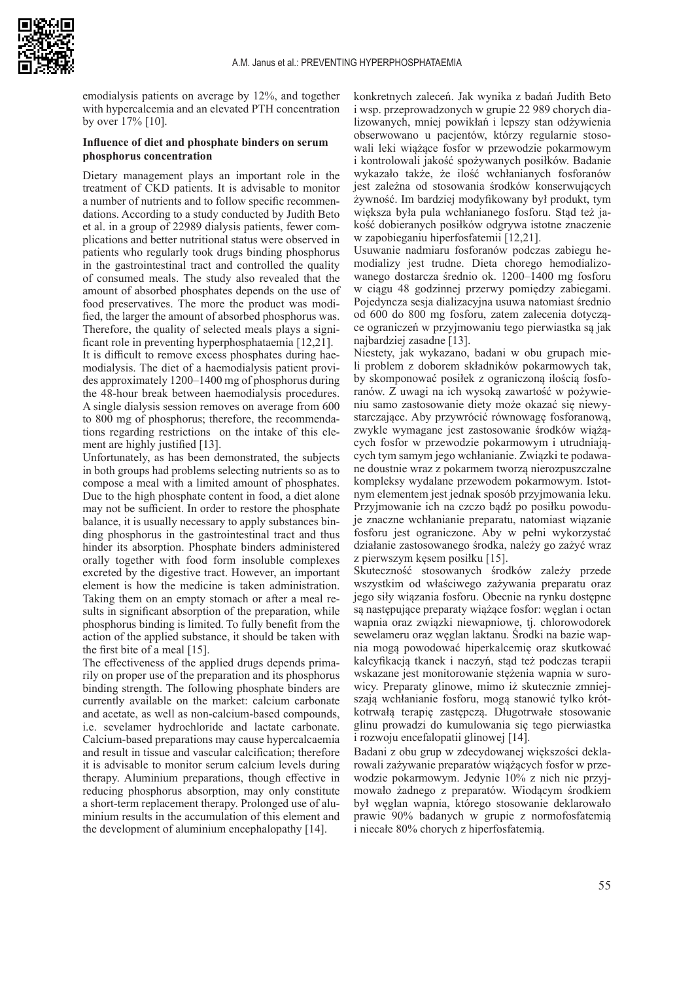

emodialysis patients on average by 12%, and together with hypercalcemia and an elevated PTH concentration by over 17% [10].

#### **Influence of diet and phosphate binders on serum phosphorus concentration**

Dietary management plays an important role in the treatment of CKD patients. It is advisable to monitor a number of nutrients and to follow specific recommendations. According to a study conducted by Judith Beto et al. in a group of 22989 dialysis patients, fewer complications and better nutritional status were observed in patients who regularly took drugs binding phosphorus in the gastrointestinal tract and controlled the quality of consumed meals. The study also revealed that the amount of absorbed phosphates depends on the use of food preservatives. The more the product was modified, the larger the amount of absorbed phosphorus was. Therefore, the quality of selected meals plays a significant role in preventing hyperphosphataemia [12,21]. It is difficult to remove excess phosphates during haemodialysis. The diet of a haemodialysis patient provides approximately 1200–1400 mg of phosphorus during

the 48-hour break between haemodialysis procedures. A single dialysis session removes on average from 600 to 800 mg of phosphorus; therefore, the recommendations regarding restrictions on the intake of this element are highly justified [13].

Unfortunately, as has been demonstrated, the subjects in both groups had problems selecting nutrients so as to compose a meal with a limited amount of phosphates. Due to the high phosphate content in food, a diet alone may not be sufficient. In order to restore the phosphate balance, it is usually necessary to apply substances binding phosphorus in the gastrointestinal tract and thus hinder its absorption. Phosphate binders administered orally together with food form insoluble complexes excreted by the digestive tract. However, an important element is how the medicine is taken administration. Taking them on an empty stomach or after a meal results in significant absorption of the preparation, while phosphorus binding is limited. To fully benefit from the action of the applied substance, it should be taken with the first bite of a meal [15].

The effectiveness of the applied drugs depends primarily on proper use of the preparation and its phosphorus binding strength. The following phosphate binders are currently available on the market: calcium carbonate and acetate, as well as non-calcium-based compounds, i.e. sevelamer hydrochloride and lactate carbonate. Calcium-based preparations may cause hypercalcaemia and result in tissue and vascular calcification; therefore it is advisable to monitor serum calcium levels during therapy. Aluminium preparations, though effective in reducing phosphorus absorption, may only constitute a short-term replacement therapy. Prolonged use of aluminium results in the accumulation of this element and the development of aluminium encephalopathy [14].

konkretnych zaleceń. Jak wynika z badań Judith Beto i wsp. przeprowadzonych w grupie 22 989 chorych dializowanych, mniej powikłań i lepszy stan odżywienia obserwowano u pacjentów, którzy regularnie stosowali leki wiążące fosfor w przewodzie pokarmowym i kontrolowali jakość spożywanych posiłków. Badanie wykazało także, że ilość wchłanianych fosforanów jest zależna od stosowania środków konserwujących żywność. Im bardziej modyfikowany był produkt, tym większa była pula wchłanianego fosforu. Stąd też jakość dobieranych posiłków odgrywa istotne znaczenie w zapobieganiu hiperfosfatemii [12,21].

Usuwanie nadmiaru fosforanów podczas zabiegu hemodializy jest trudne. Dieta chorego hemodializowanego dostarcza średnio ok. 1200–1400 mg fosforu w ciągu 48 godzinnej przerwy pomiędzy zabiegami. Pojedyncza sesja dializacyjna usuwa natomiast średnio od 600 do 800 mg fosforu, zatem zalecenia dotyczące ograniczeń w przyjmowaniu tego pierwiastka są jak najbardziej zasadne [13].

Niestety, jak wykazano, badani w obu grupach mieli problem z doborem składników pokarmowych tak, by skomponować posiłek z ograniczoną ilością fosforanów. Z uwagi na ich wysoką zawartość w pożywieniu samo zastosowanie diety może okazać się niewystarczające. Aby przywrócić równowagę fosforanową, zwykle wymagane jest zastosowanie środków wiążących fosfor w przewodzie pokarmowym i utrudniających tym samym jego wchłanianie. Związki te podawane doustnie wraz z pokarmem tworzą nierozpuszczalne kompleksy wydalane przewodem pokarmowym. Istotnym elementem jest jednak sposób przyjmowania leku. Przyjmowanie ich na czczo bądź po posiłku powoduje znaczne wchłanianie preparatu, natomiast wiązanie fosforu jest ograniczone. Aby w pełni wykorzystać działanie zastosowanego środka, należy go zażyć wraz z pierwszym kęsem posiłku [15].

Skuteczność stosowanych środków zależy przede wszystkim od właściwego zażywania preparatu oraz jego siły wiązania fosforu. Obecnie na rynku dostępne są następujące preparaty wiążące fosfor: węglan i octan wapnia oraz związki niewapniowe, tj. chlorowodorek sewelameru oraz węglan laktanu. Środki na bazie wapnia mogą powodować hiperkalcemię oraz skutkować kalcyfikacją tkanek i naczyń, stąd też podczas terapii wskazane jest monitorowanie stężenia wapnia w surowicy. Preparaty glinowe, mimo iż skutecznie zmniejszają wchłanianie fosforu, mogą stanowić tylko krótkotrwałą terapię zastępczą. Długotrwałe stosowanie glinu prowadzi do kumulowania się tego pierwiastka i rozwoju encefalopatii glinowej [14].

Badani z obu grup w zdecydowanej większości deklarowali zażywanie preparatów wiążących fosfor w przewodzie pokarmowym. Jedynie 10% z nich nie przyjmowało żadnego z preparatów. Wiodącym środkiem był węglan wapnia, którego stosowanie deklarowało prawie 90% badanych w grupie z normofosfatemią i niecałe 80% chorych z hiperfosfatemią.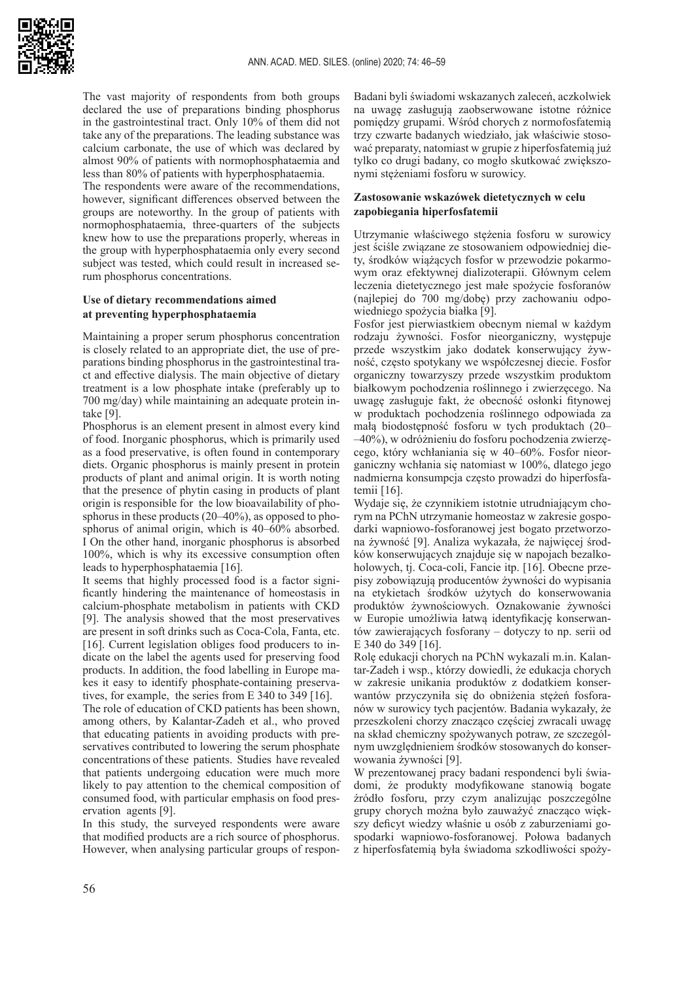

The vast majority of respondents from both groups declared the use of preparations binding phosphorus in the gastrointestinal tract. Only 10% of them did not take any of the preparations. The leading substance was calcium carbonate, the use of which was declared by almost 90% of patients with normophosphataemia and less than 80% of patients with hyperphosphataemia.

The respondents were aware of the recommendations, however, significant differences observed between the groups are noteworthy. In the group of patients with normophosphataemia, three-quarters of the subjects knew how to use the preparations properly, whereas in the group with hyperphosphataemia only every second subject was tested, which could result in increased serum phosphorus concentrations.

## **Use of dietary recommendations aimed at preventing hyperphosphataemia**

Maintaining a proper serum phosphorus concentration is closely related to an appropriate diet, the use of preparations binding phosphorus in the gastrointestinal tract and effective dialysis. The main objective of dietary treatment is a low phosphate intake (preferably up to 700 mg/day) while maintaining an adequate protein intake [9].

Phosphorus is an element present in almost every kind of food. Inorganic phosphorus, which is primarily used as a food preservative, is often found in contemporary diets. Organic phosphorus is mainly present in protein products of plant and animal origin. It is worth noting that the presence of phytin casing in products of plant origin is responsible for the low bioavailability of phosphorus in these products (20–40%), as opposed to phosphorus of animal origin, which is 40–60% absorbed. I On the other hand, inorganic phosphorus is absorbed 100%, which is why its excessive consumption often leads to hyperphosphataemia [16].

It seems that highly processed food is a factor significantly hindering the maintenance of homeostasis in calcium-phosphate metabolism in patients with CKD [9]. The analysis showed that the most preservatives are present in soft drinks such as Coca-Cola, Fanta, etc. [16]. Current legislation obliges food producers to indicate on the label the agents used for preserving food products. In addition, the food labelling in Europe makes it easy to identify phosphate-containing preservatives, for example, the series from E 340 to 349 [16].

The role of education of CKD patients has been shown, among others, by Kalantar-Zadeh et al., who proved that educating patients in avoiding products with preservatives contributed to lowering the serum phosphate concentrations of these patients. Studies have revealed that patients undergoing education were much more likely to pay attention to the chemical composition of consumed food, with particular emphasis on food preservation agents [9].

In this study, the surveyed respondents were aware that modified products are a rich source of phosphorus. However, when analysing particular groups of respon-

Badani byli świadomi wskazanych zaleceń, aczkolwiek na uwagę zasługują zaobserwowane istotne różnice pomiędzy grupami. Wśród chorych z normofosfatemią trzy czwarte badanych wiedziało, jak właściwie stosować preparaty, natomiast w grupie z hiperfosfatemią już tylko co drugi badany, co mogło skutkować zwiększonymi stężeniami fosforu w surowicy.

## **Zastosowanie wskazówek dietetycznych w celu zapobiegania hiperfosfatemii**

Utrzymanie właściwego stężenia fosforu w surowicy jest ściśle związane ze stosowaniem odpowiedniej diety, środków wiążących fosfor w przewodzie pokarmowym oraz efektywnej dializoterapii. Głównym celem leczenia dietetycznego jest małe spożycie fosforanów (najlepiej do 700 mg/dobę) przy zachowaniu odpowiedniego spożycia białka [9].

Fosfor jest pierwiastkiem obecnym niemal w każdym rodzaju żywności. Fosfor nieorganiczny, występuje przede wszystkim jako dodatek konserwujący żywność, często spotykany we współczesnej diecie. Fosfor organiczny towarzyszy przede wszystkim produktom białkowym pochodzenia roślinnego i zwierzęcego. Na uwagę zasługuje fakt, że obecność osłonki fitynowej w produktach pochodzenia roślinnego odpowiada za małą biodostępność fosforu w tych produktach (20– –40%), w odróżnieniu do fosforu pochodzenia zwierzęcego, który wchłaniania się w 40–60%. Fosfor nieorganiczny wchłania się natomiast w 100%, dlatego jego nadmierna konsumpcja często prowadzi do hiperfosfatemii [16].

Wydaje się, że czynnikiem istotnie utrudniającym chorym na PChN utrzymanie homeostaz w zakresie gospodarki wapniowo-fosforanowej jest bogato przetworzona żywność [9]. Analiza wykazała, że najwięcej środków konserwujących znajduje się w napojach bezalkoholowych, tj. Coca-coli, Fancie itp. [16]. Obecne przepisy zobowiązują producentów żywności do wypisania na etykietach środków użytych do konserwowania produktów żywnościowych. Oznakowanie żywności w Europie umożliwia łatwą identyfikację konserwantów zawierających fosforany – dotyczy to np. serii od E 340 do 349 [16].

Rolę edukacji chorych na PChN wykazali m.in. Kalantar-Zadeh i wsp., którzy dowiedli, że edukacja chorych w zakresie unikania produktów z dodatkiem konserwantów przyczyniła się do obniżenia stężeń fosforanów w surowicy tych pacjentów. Badania wykazały, że przeszkoleni chorzy znacząco częściej zwracali uwagę na skład chemiczny spożywanych potraw, ze szczególnym uwzględnieniem środków stosowanych do konserwowania żywności [9].

W prezentowanej pracy badani respondenci byli świadomi, że produkty modyfikowane stanowią bogate źródło fosforu, przy czym analizując poszczególne grupy chorych można było zauważyć znacząco większy deficyt wiedzy właśnie u osób z zaburzeniami gospodarki wapniowo-fosforanowej. Połowa badanych z hiperfosfatemią była świadoma szkodliwości spoży-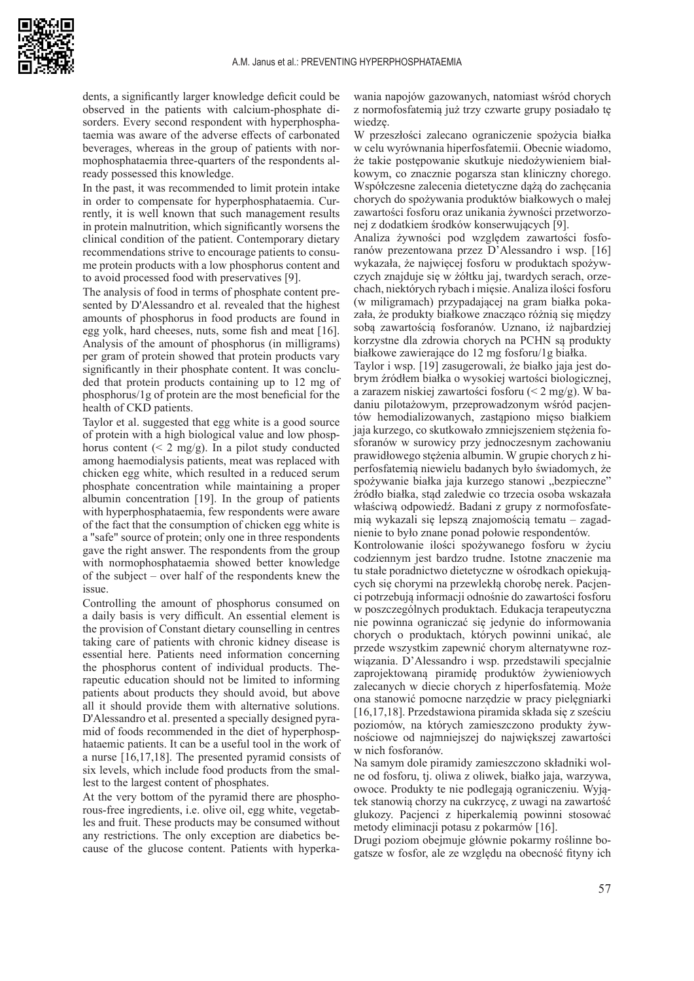

dents, a significantly larger knowledge deficit could be observed in the patients with calcium-phosphate disorders. Every second respondent with hyperphosphataemia was aware of the adverse effects of carbonated beverages, whereas in the group of patients with normophosphataemia three-quarters of the respondents already possessed this knowledge.

In the past, it was recommended to limit protein intake in order to compensate for hyperphosphataemia. Currently, it is well known that such management results in protein malnutrition, which significantly worsens the clinical condition of the patient. Contemporary dietary recommendations strive to encourage patients to consume protein products with a low phosphorus content and to avoid processed food with preservatives [9].

The analysis of food in terms of phosphate content presented by D'Alessandro et al. revealed that the highest amounts of phosphorus in food products are found in egg yolk, hard cheeses, nuts, some fish and meat [16]. Analysis of the amount of phosphorus (in milligrams) per gram of protein showed that protein products vary significantly in their phosphate content. It was concluded that protein products containing up to 12 mg of phosphorus/1g of protein are the most beneficial for the health of CKD patients.

Taylor et al. suggested that egg white is a good source of protein with a high biological value and low phosphorus content  $(< 2 \text{ mg/g})$ . In a pilot study conducted among haemodialysis patients, meat was replaced with chicken egg white, which resulted in a reduced serum phosphate concentration while maintaining a proper albumin concentration [19]. In the group of patients with hyperphosphataemia, few respondents were aware of the fact that the consumption of chicken egg white is a "safe" source of protein; only one in three respondents gave the right answer. The respondents from the group with normophosphataemia showed better knowledge of the subject – over half of the respondents knew the issue.

Controlling the amount of phosphorus consumed on a daily basis is very difficult. An essential element is the provision of Constant dietary counselling in centres taking care of patients with chronic kidney disease is essential here. Patients need information concerning the phosphorus content of individual products. Therapeutic education should not be limited to informing patients about products they should avoid, but above all it should provide them with alternative solutions. D'Alessandro et al. presented a specially designed pyramid of foods recommended in the diet of hyperphosphataemic patients. It can be a useful tool in the work of a nurse [16,17,18]. The presented pyramid consists of six levels, which include food products from the smallest to the largest content of phosphates.

At the very bottom of the pyramid there are phosphorous-free ingredients, i.e. olive oil, egg white, vegetables and fruit. These products may be consumed without any restrictions. The only exception are diabetics because of the glucose content. Patients with hyperkawania napojów gazowanych, natomiast wśród chorych z normofosfatemią już trzy czwarte grupy posiadało tę wiedzę.

W przeszłości zalecano ograniczenie spożycia białka w celu wyrównania hiperfosfatemii. Obecnie wiadomo, że takie postępowanie skutkuje niedożywieniem białkowym, co znacznie pogarsza stan kliniczny chorego. Współczesne zalecenia dietetyczne dążą do zachęcania chorych do spożywania produktów białkowych o małej zawartości fosforu oraz unikania żywności przetworzonej z dodatkiem środków konserwujących [9].

Analiza żywności pod względem zawartości fosforanów prezentowana przez D'Alessandro i wsp. [16] wykazała, że najwięcej fosforu w produktach spożywczych znajduje się w żółtku jaj, twardych serach, orzechach, niektórych rybach i mięsie. Analiza ilości fosforu (w miligramach) przypadającej na gram białka pokazała, że produkty białkowe znacząco różnią się między sobą zawartością fosforanów. Uznano, iż najbardziej korzystne dla zdrowia chorych na PCHN są produkty białkowe zawierające do 12 mg fosforu/1g białka.

Taylor i wsp. [19] zasugerowali, że białko jaja jest dobrym źródłem białka o wysokiej wartości biologicznej, a zarazem niskiej zawartości fosforu (< 2 mg/g). W badaniu pilotażowym, przeprowadzonym wśród pacjentów hemodializowanych, zastąpiono mięso białkiem jaja kurzego, co skutkowało zmniejszeniem stężenia fosforanów w surowicy przy jednoczesnym zachowaniu prawidłowego stężenia albumin. W grupie chorych z hiperfosfatemią niewielu badanych było świadomych, że spożywanie białka jaja kurzego stanowi "bezpieczne" źródło białka, stąd zaledwie co trzecia osoba wskazała właściwą odpowiedź. Badani z grupy z normofosfatemią wykazali się lepszą znajomością tematu – zagadnienie to było znane ponad połowie respondentów.

Kontrolowanie ilości spożywanego fosforu w życiu codziennym jest bardzo trudne. Istotne znaczenie ma tu stałe poradnictwo dietetyczne w ośrodkach opiekujących się chorymi na przewlekłą chorobę nerek. Pacjenci potrzebują informacji odnośnie do zawartości fosforu w poszczególnych produktach. Edukacja terapeutyczna nie powinna ograniczać się jedynie do informowania chorych o produktach, których powinni unikać, ale przede wszystkim zapewnić chorym alternatywne rozwiązania. D'Alessandro i wsp. przedstawili specjalnie zaprojektowaną piramidę produktów żywieniowych zalecanych w diecie chorych z hiperfosfatemią. Może ona stanowić pomocne narzędzie w pracy pielęgniarki [16,17,18]. Przedstawiona piramida składa się z sześciu poziomów, na których zamieszczono produkty żywnościowe od najmniejszej do największej zawartości w nich fosforanów.

Na samym dole piramidy zamieszczono składniki wolne od fosforu, tj. oliwa z oliwek, białko jaja, warzywa, owoce. Produkty te nie podlegają ograniczeniu. Wyjątek stanowią chorzy na cukrzycę, z uwagi na zawartość glukozy. Pacjenci z hiperkalemią powinni stosować metody eliminacji potasu z pokarmów [16].

Drugi poziom obejmuje głównie pokarmy roślinne bogatsze w fosfor, ale ze względu na obecność fityny ich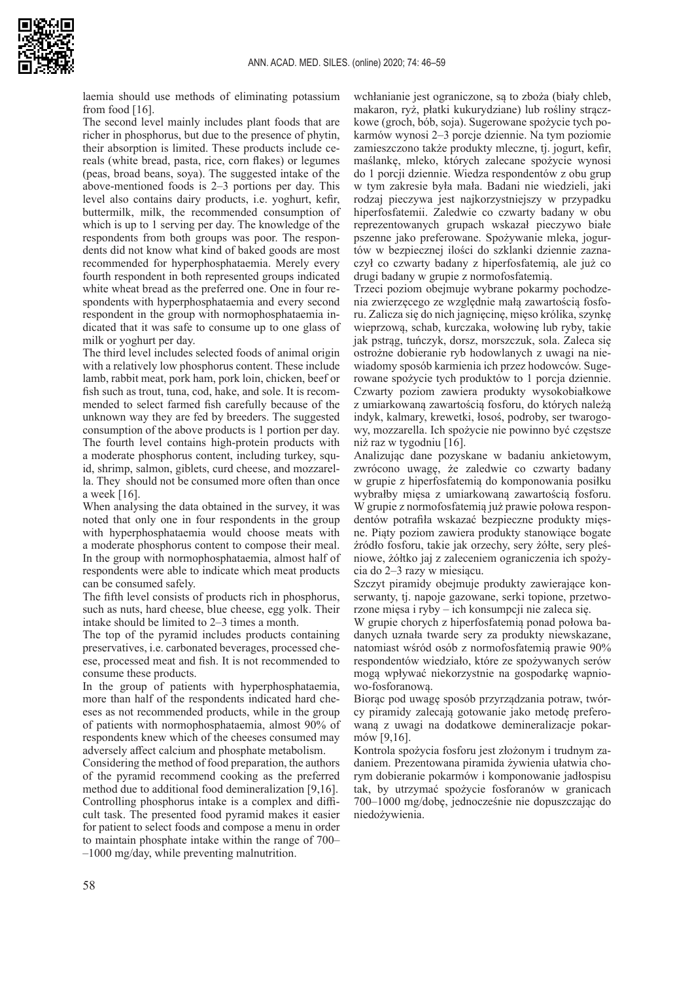

laemia should use methods of eliminating potassium from food [16].

The second level mainly includes plant foods that are richer in phosphorus, but due to the presence of phytin, their absorption is limited. These products include cereals (white bread, pasta, rice, corn flakes) or legumes (peas, broad beans, soya). The suggested intake of the above-mentioned foods is 2–3 portions per day. This level also contains dairy products, i.e. yoghurt, kefir, buttermilk, milk, the recommended consumption of which is up to 1 serving per day. The knowledge of the respondents from both groups was poor. The respondents did not know what kind of baked goods are most recommended for hyperphosphataemia. Merely every fourth respondent in both represented groups indicated white wheat bread as the preferred one. One in four respondents with hyperphosphataemia and every second respondent in the group with normophosphataemia indicated that it was safe to consume up to one glass of milk or yoghurt per day.

The third level includes selected foods of animal origin with a relatively low phosphorus content. These include lamb, rabbit meat, pork ham, pork loin, chicken, beef or fish such as trout, tuna, cod, hake, and sole. It is recommended to select farmed fish carefully because of the unknown way they are fed by breeders. The suggested consumption of the above products is 1 portion per day. The fourth level contains high-protein products with a moderate phosphorus content, including turkey, squid, shrimp, salmon, giblets, curd cheese, and mozzarella. They should not be consumed more often than once a week [16].

When analysing the data obtained in the survey, it was noted that only one in four respondents in the group with hyperphosphataemia would choose meats with a moderate phosphorus content to compose their meal. In the group with normophosphataemia, almost half of respondents were able to indicate which meat products can be consumed safely.

The fifth level consists of products rich in phosphorus, such as nuts, hard cheese, blue cheese, egg yolk. Their intake should be limited to 2–3 times a month.

The top of the pyramid includes products containing preservatives, i.e. carbonated beverages, processed cheese, processed meat and fish. It is not recommended to consume these products.

In the group of patients with hyperphosphataemia, more than half of the respondents indicated hard cheeses as not recommended products, while in the group of patients with normophosphataemia, almost 90% of respondents knew which of the cheeses consumed may adversely affect calcium and phosphate metabolism.

Considering the method of food preparation, the authors of the pyramid recommend cooking as the preferred method due to additional food demineralization [9,16]. Controlling phosphorus intake is a complex and difficult task. The presented food pyramid makes it easier for patient to select foods and compose a menu in order to maintain phosphate intake within the range of 700– –1000 mg/day, while preventing malnutrition.

wchłanianie jest ograniczone, są to zboża (biały chleb, makaron, ryż, płatki kukurydziane) lub rośliny strączkowe (groch, bób, soja). Sugerowane spożycie tych pokarmów wynosi 2–3 porcje dziennie. Na tym poziomie zamieszczono także produkty mleczne, tj. jogurt, kefir, maślankę, mleko, których zalecane spożycie wynosi do 1 porcji dziennie. Wiedza respondentów z obu grup w tym zakresie była mała. Badani nie wiedzieli, jaki rodzaj pieczywa jest najkorzystniejszy w przypadku hiperfosfatemii. Zaledwie co czwarty badany w obu reprezentowanych grupach wskazał pieczywo białe pszenne jako preferowane. Spożywanie mleka, jogurtów w bezpiecznej ilości do szklanki dziennie zaznaczył co czwarty badany z hiperfosfatemią, ale już co drugi badany w grupie z normofosfatemią.

Trzeci poziom obejmuje wybrane pokarmy pochodzenia zwierzęcego ze względnie małą zawartością fosforu. Zalicza się do nich jagnięcinę, mięso królika, szynkę wieprzową, schab, kurczaka, wołowinę lub ryby, takie jak pstrąg, tuńczyk, dorsz, morszczuk, sola. Zaleca się ostrożne dobieranie ryb hodowlanych z uwagi na niewiadomy sposób karmienia ich przez hodowców. Sugerowane spożycie tych produktów to 1 porcja dziennie. Czwarty poziom zawiera produkty wysokobiałkowe z umiarkowaną zawartością fosforu, do których należą indyk, kalmary, krewetki, łosoś, podroby, ser twarogowy, mozzarella. Ich spożycie nie powinno być częstsze niż raz w tygodniu [16].

Analizując dane pozyskane w badaniu ankietowym, zwrócono uwagę, że zaledwie co czwarty badany w grupie z hiperfosfatemią do komponowania posiłku wybrałby mięsa z umiarkowaną zawartością fosforu. W grupie z normofosfatemią już prawie połowa respondentów potrafiła wskazać bezpieczne produkty mięsne. Piąty poziom zawiera produkty stanowiące bogate źródło fosforu, takie jak orzechy, sery żółte, sery pleśniowe, żółtko jaj z zaleceniem ograniczenia ich spożycia do 2–3 razy w miesiącu.

Szczyt piramidy obejmuje produkty zawierające konserwanty, tj. napoje gazowane, serki topione, przetworzone mięsa i ryby – ich konsumpcji nie zaleca się.

W grupie chorych z hiperfosfatemią ponad połowa badanych uznała twarde sery za produkty niewskazane, natomiast wśród osób z normofosfatemią prawie 90% respondentów wiedziało, które ze spożywanych serów mogą wpływać niekorzystnie na gospodarkę wapniowo-fosforanową.

Biorąc pod uwagę sposób przyrządzania potraw, twórcy piramidy zalecają gotowanie jako metodę preferowaną z uwagi na dodatkowe demineralizacje pokarmów [9,16].

Kontrola spożycia fosforu jest złożonym i trudnym zadaniem. Prezentowana piramida żywienia ułatwia chorym dobieranie pokarmów i komponowanie jadłospisu tak, by utrzymać spożycie fosforanów w granicach 700–1000 mg/dobę, jednocześnie nie dopuszczając do niedożywienia.